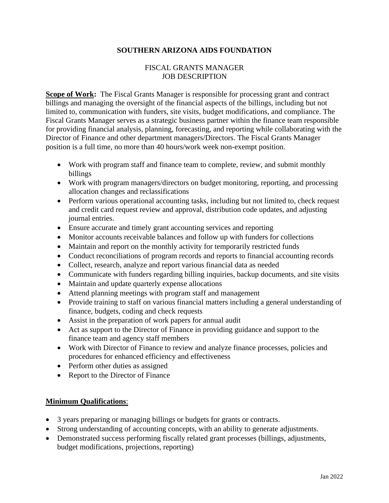## **SOUTHERN ARIZONA AIDS FOUNDATION**

## FISCAL GRANTS MANAGER JOB DESCRIPTION

**Scope of Work:** The Fiscal Grants Manager is responsible for processing grant and contract billings and managing the oversight of the financial aspects of the billings, including but not limited to, communication with funders, site visits, budget modifications, and compliance. The Fiscal Grants Manager serves as a strategic business partner within the finance team responsible for providing financial analysis, planning, forecasting, and reporting while collaborating with the Director of Finance and other department managers/Directors. The Fiscal Grants Manager position is a full time, no more than 40 hours/work week non-exempt position.

- Work with program staff and finance team to complete, review, and submit monthly billings
- Work with program managers/directors on budget monitoring, reporting, and processing allocation changes and reclassifications
- Perform various operational accounting tasks, including but not limited to, check request and credit card request review and approval, distribution code updates, and adjusting journal entries.
- Ensure accurate and timely grant accounting services and reporting
- Monitor accounts receivable balances and follow up with funders for collections
- Maintain and report on the monthly activity for temporarily restricted funds
- Conduct reconciliations of program records and reports to financial accounting records
- Collect, research, analyze and report various financial data as needed
- Communicate with funders regarding billing inquiries, backup documents, and site visits
- Maintain and update quarterly expense allocations
- Attend planning meetings with program staff and management
- Provide training to staff on various financial matters including a general understanding of finance, budgets, coding and check requests
- Assist in the preparation of work papers for annual audit
- Act as support to the Director of Finance in providing guidance and support to the finance team and agency staff members
- Work with Director of Finance to review and analyze finance processes, policies and procedures for enhanced efficiency and effectiveness
- Perform other duties as assigned
- Report to the Director of Finance

## **Minimum Qualifications**:

- 3 years preparing or managing billings or budgets for grants or contracts.
- Strong understanding of accounting concepts, with an ability to generate adjustments.
- Demonstrated success performing fiscally related grant processes (billings, adjustments, budget modifications, projections, reporting)